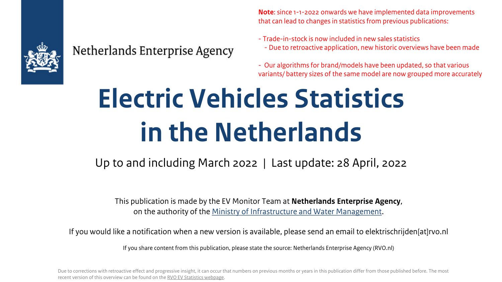

#### Netherlands Enterprise Agency

**Note**: since 1-1-2022 onwards we have implemented data improvements that can lead to changes in statistics from previous publications:

- Trade-in-stock is now included in new sales statistics - Due to retroactive application, new historic overviews have been made

- Our algorithms for brand/models have been updated, so that various variants/ battery sizes of the same model are now grouped more accurately

# **Electric Vehicles Statistics in the Netherlands**

#### Up to and including March 2022 | Last update: 28 April, 2022

This publication is made by the EV Monitor Team at **Netherlands Enterprise Agency**, on the authority of the [Ministry of Infrastructure and Water Management](https://www.government.nl/ministries/ministry-of-infrastructure-and-water-management).

If you would like a notification when a new version is available, please send an email to elektrischrijden[at]rvo.nl

If you share content from this publication, please state the source: Netherlands Enterprise Agency (RVO.nl)

Due to corrections with retroactive effect and progressive insight, it can occur that numbers on previous months or years in this publication differ from those published before. The most recent version of this overview can be found on the [RVO EV Statistics webpage](https://www.rvo.nl/onderwerpen/duurzaam-ondernemen/energie-en-milieu-innovaties/elektrisch-rijden/stand-van-zaken/cijfers).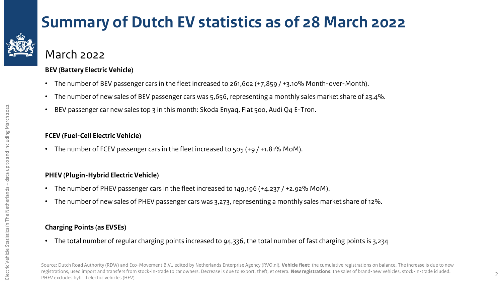

### **Summary of Dutch EV statistics as of 28 March 2022**

March 2022

#### **BEV (Battery Electric Vehicle)**

- The number of BEV passenger cars in the fleet increased to 261,602 (+7,859 / +3.10% Month-over-Month).
- The number of new sales of BEV passenger cars was 5,656, representing a monthly sales market share of 23.4%.
- BEV passenger car new sales top 3 in this month: Skoda Enyaq, Fiat 500, Audi Q4 E-Tron.

#### **FCEV (Fuel-Cell Electric Vehicle)**

• The number of FCEV passenger cars in the fleet increased to 505 (+9 / +1.81% MoM).

#### **PHEV (Plugin-Hybrid Electric Vehicle)**

- The number of PHEV passenger cars in the fleet increased to 149,196 (+4.237 / +2.92% MoM).
- The number of new sales of PHEV passenger cars was 3,273, representing a monthly sales market share of 12%.

#### **Charging Points (as EVSEs)**

• The total number of regular charging points increased to 94,336, the total number of fast charging points is 3,234

Source: Dutch Road Authority (RDW) and Eco-Movement B.V., edited by Netherlands Enterprise Agency (RVO.nl). **Vehicle fleet:** the cumulative registrations on balance. The increase is due to new registrations, used import and transfers from stock-in-trade to car owners. Decrease is due to export, theft, et cetera. **New registrations**: the sales of brand-new vehicles, stock-in-trade icluded. PHEV excludes hybrid electric vehicles (HEV).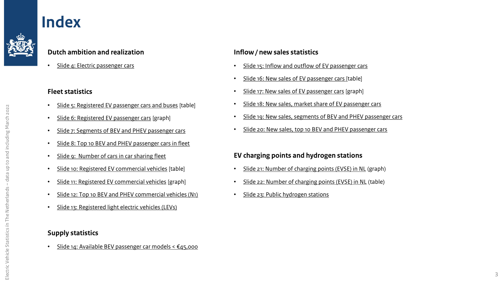#### <span id="page-2-0"></span>**Index**



• Slide 4: [Electric passenger cars](#page-3-0)

#### **Fleet statistics**

- [Slide 5: Registered EV passenger cars and buses](#page-4-0) [table]
- [Slide 6: Registered EV passenger cars](#page-5-0) [graph]
- [Slide 7: Segments of BEV and PHEV passenger cars](#page-6-0)
- [Slide 8: Top 10 BEV and PHEV passenger cars in fleet](#page-7-0)
- [Slide 9: Number of cars in car sharing fleet](#page-8-0)
- [Slide 10: Registered EV commercial vehicles](#page-9-0) [table]
- [Slide 11: Registered EV commercial vehicles](#page-10-0) [graph]
- [Slide 12: Top 10 BEV and PHEV commercial vehicles \(N1\)](#page-11-0)
- [Slide 13: Registered](#page-12-0) light electric vehicles (LEVs)

#### **Supply statistics**

• Slide 14: [Available BEV passenger car models < €45,000](#page-13-0) 

#### **Inflow / new sales statistics**

- [Slide 15: Inflow and outflow of EV passenger cars](#page-14-0)
- [Slide 16: New sales of EV passenger cars](#page-15-0) [table]
- [Slide 17: New sales of EV passenger cars](#page-16-0) [graph]
- [Slide 18: New sales, market share of EV passenger cars](#page-17-0)
- Slide 19: New sales, segments [of BEV and PHEV passenger cars](#page-18-0)
- [Slide 20: New sales, top 10 BEV and PHEV passenger cars](#page-19-0)

#### **EV charging points and hydrogen stations**

- [Slide 21: Number of charging points \(EVSE\) in NL](#page-20-0) (graph)
- [Slide 22: Number of charging points \(EVSE\) in NL](#page-21-0) (table)
- [Slide 23: Public hydrogen stations](#page-22-0)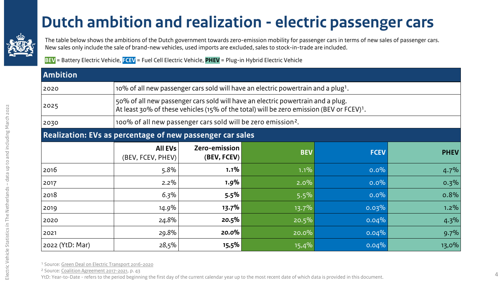#### **[D](#page-2-0)utch ambition and realization - electric passenger cars**

<span id="page-3-0"></span>

The table below shows the ambitions of the Dutch government towards zero-emission mobility for passenger cars in terms of new sales of passenger cars. New sales only include the sale of brand-new vehicles, used imports are excluded, sales to stock-in-trade are included.

**BEV** = Battery Electric Vehicle, **FCEV** = Fuel Cell Electric Vehicle, **PHEV** = Plug-in Hybrid Electric Vehicle

| <b>Ambition</b>                                           |                                                                                                                                                                                         |                              |                                                                                               |             |             |  |  |  |
|-----------------------------------------------------------|-----------------------------------------------------------------------------------------------------------------------------------------------------------------------------------------|------------------------------|-----------------------------------------------------------------------------------------------|-------------|-------------|--|--|--|
| 2020                                                      |                                                                                                                                                                                         |                              | 10% of all new passenger cars sold will have an electric powertrain and a plug <sup>1</sup> . |             |             |  |  |  |
| 2025                                                      | 50% of all new passenger cars sold will have an electric powertrain and a plug.<br>At least 30% of these vehicles (15% of the total) will be zero emission (BEV or FCEV) <sup>1</sup> . |                              |                                                                                               |             |             |  |  |  |
| 2030                                                      | 100% of all new passenger cars sold will be zero emission <sup>2</sup> .                                                                                                                |                              |                                                                                               |             |             |  |  |  |
| Realization: EVs as percentage of new passenger car sales |                                                                                                                                                                                         |                              |                                                                                               |             |             |  |  |  |
|                                                           | <b>All EVs</b><br>(BEV, FCEV, PHEV)                                                                                                                                                     | Zero-emission<br>(BEV, FCEV) | <b>BEV</b>                                                                                    | <b>FCEV</b> | <b>PHEV</b> |  |  |  |
| 2016                                                      | 5.8%                                                                                                                                                                                    | $1.1\%$                      | 1.1%                                                                                          | $0.0\%$     | 4.7%        |  |  |  |
| 2017                                                      | $2.2\%$                                                                                                                                                                                 | 1.9%                         | 2.0%                                                                                          | $0.0\%$     | 0.3%        |  |  |  |
| 2018                                                      | $6.3\%$                                                                                                                                                                                 | 5.5%                         | 5.5%                                                                                          | $0.0\%$     | 0.8%        |  |  |  |
| 2019                                                      | 14.9%                                                                                                                                                                                   | 13.7%                        | $13.7\%$                                                                                      | 0.03%       | $1.2\%$     |  |  |  |
| 2020                                                      | 24.8%                                                                                                                                                                                   | 20.5%                        | 20.5%                                                                                         | 0.04%       | 4.3%        |  |  |  |
| 2021                                                      | 29.8%                                                                                                                                                                                   | 20.0%                        | $20.0\%$                                                                                      | 0.04%       | 9.7%        |  |  |  |
| 2022 (YtD: Mar)                                           | 28,5%                                                                                                                                                                                   | 15,5%                        | 15,4%                                                                                         | 0.04%       | 13,0%       |  |  |  |

<sup>1</sup> Source: [Green Deal on Electric Transport 2016-2020](https://www.iea.org/policies/3009-green-deal-on-electric-transport-2016-2020-green-deal-198)

² Source: [Coalition Agreement 2017-2021,](https://www.kabinetsformatie2017.nl/binaries/kabinetsformatie/documenten/verslagen/2017/10/10/coalition-agreement-confidence-in-the-future/coalition-agreement-2017-confidence-in-the-future.pdf) p. 43

YtD: Year-to-Date - refers to the period beginning the first day of the current calendar year up to the most recent date of which data is provided in this document.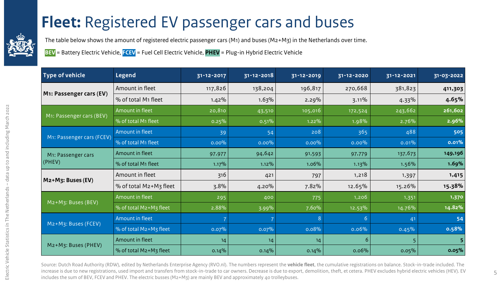### **[F](#page-2-0)leet:** Registered EV passenger cars and buses

<span id="page-4-0"></span>

The table below shows the amount of registered electric passenger cars (M1) and buses (M2+M3) in the Netherlands over time.

**BEV** = Battery Electric Vehicle, **FCEV** = Fuel Cell Electric Vehicle, **PHEV** = Plug-in Hybrid Electric Vehicle

| Type of vehicle           | <b>Legend</b>          | 31-12-2017 | 31-12-2018 | 31-12-2019 | 31-12-2020 | 31-12-2021     | 31-03-2022 |
|---------------------------|------------------------|------------|------------|------------|------------|----------------|------------|
|                           | Amount in fleet        | 117,826    | 138,204    | 196,817    | 270,668    | 381,823        | 411,303    |
| M1: Passenger cars (EV)   | % of total M1 fleet    | 1.42%      | 1.63%      | 2.29%      | 3.11%      | 4.33%          | 4.65%      |
|                           | Amount in fleet        | 20,810     | 43,510     | 105,016    | 172,524    | 243,662        | 261,602    |
| M1: Passenger cars (BEV)  | % of total M1 fleet    | 0.25%      | 0.51%      | $1.22\%$   | 1.98%      | 2.76%          | 2.96%      |
|                           | Amount in fleet        | 39         | 54         | 208        | 365        | 488            | 505        |
| M1: Passenger cars (FCEV) | % of total M1 fleet    | $0.00\%$   | $0.00\%$   | $0.00\%$   | $0.00\%$   | 0.01%          | 0.01%      |
| M1: Passenger cars        | Amount in fleet        | 97,977     | 94,642     | 91,593     | 97,779     | 137,673        | 149,196    |
| $ $ (PHEV)                | % of total M1 fleet    | 1.17%      | 1.12%      | 1.06%      | 1.13%      | 1.56%          | 1.69%      |
| M2+M3: Buses (EV)         | Amount in fleet        | 316        | 421        | 797        | 1,218      | 1,397          | 1,415      |
|                           | % of total M2+M3 fleet | 3.8%       | 4.20%      | 7.82%      | 12.65%     | 15.26%         | 15.38%     |
|                           | Amount in fleet        | 295        | 400        | 775        | 1,206      | 1,351          | 1,370      |
| M2+M3: Buses (BEV)        | % of total M2+M3 fleet | 2.88%      | 3.99%      | 7.60%      | 12.53%     | 14.76%         | 14.82%     |
|                           | Amount in fleet        |            |            | 8          | 6          | 4 <sub>1</sub> | 54         |
| M2+M3: Buses (FCEV)       | % of total M2+M3 fleet | 0.07%      | 0.07%      | 0.08%      | 0.06%      | 0.45%          | 0.58%      |
|                           | Amount in fleet        | 14         | 14         | 14         | 6          |                | 5          |
| M2+M3: Buses (PHEV)       | % of total M2+M3 fleet | $0.14\%$   | $0.14\%$   | 0.14%      | 0.06%      | 0.05%          | 0.05%      |

Source: Dutch Road Authority (RDW), edited by Netherlands Enterprise Agency (RVO.nl). The numbers represent the **vehicle fleet**, the cumulative registrations on balance. Stock-in-trade included. The increase is due to new registrations, used import and transfers from stock-in-trade to car owners. Decrease is due to export, demolition, theft, et cetera. PHEV excludes hybrid electric vehicles (HEV). EV includes the sum of BEV, FCEV and PHEV. The electric busses (M2+M3) are mainly BEV and approximately 40 trolleybuses.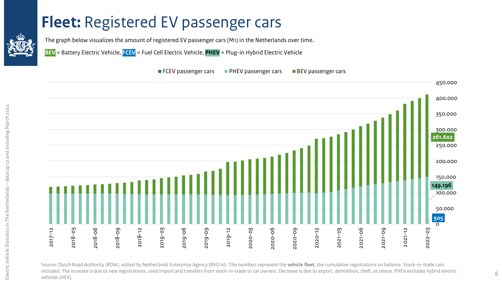#### <span id="page-5-0"></span>**[F](#page-2-0)leet: Registered EV passenger cars**

The graph below visualizes the amount of registered EV passenger cars (M1) in the Netherlands over time.

**BEV** = Battery Electric Vehicle, **FCEV** = Fuel Cell Electric Vehicle, **PHEV** = Plug-in Hybrid Electric Vehicle





Source: Dutch Road Authority (RDW), edited by Netherlands Enterprise Agency (RVO.nl). The numbers represent the **vehicle fleet**, the cumulative registrations on balance. Stock-in-trade cars included. The increase is due to new registrations, used import and transfers from stock-in-trade to car owners. Decrease is due to export, demolition, theft, et cetera. PHEV excludes hybrid electric vehicles (HEV). <sup>6</sup>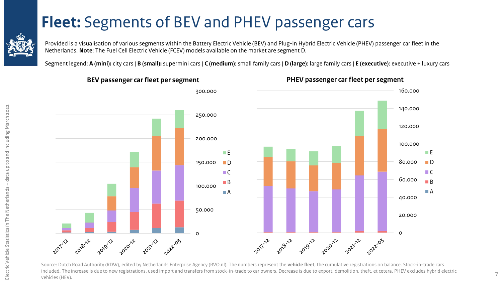### **[F](#page-2-0)leet:** Segments of BEV and PHEV passenger cars

<span id="page-6-0"></span>

Provided is a visualisation of various segments within the Battery Electric Vehicle (BEV) and Plug-in Hybrid Electric Vehicle (PHEV) passenger car fleet in the Netherlands. **Note**: The Fuel Cell Electric Vehicle (FCEV) models available on the market are segment D.

Segment legend: **A (mini):** city cars | **B (small):** supermini cars | **C (medium)**: small family cars | **D (large)**: large family cars | **E (executive)**: executive + luxury cars



#### Source: Dutch Road Authority (RDW), edited by Netherlands Enterprise Agency (RVO.nl). The numbers represent the **vehicle fleet**, the cumulative registrations on balance. Stock-in-trade cars included. The increase is due to new registrations, used import and transfers from stock-in-trade to car owners. Decrease is due to export, demolition, theft, et cetera. PHEV excludes hybrid electric vehicles (HEV).

**PHEV passenger car fleet per segment**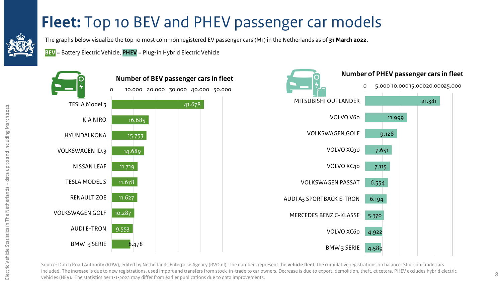### **[F](#page-2-0)leet:** Top 10 BEV and PHEV passenger car models

<span id="page-7-0"></span>

The graphs below visualize the top 10 most common registered EV passenger cars (M1) in the Netherlands as of **31 March 2022**.

**BEV** = Battery Electric Vehicle, **PHEV** = Plug-in Hybrid Electric Vehicle



Source: Dutch Road Authority (RDW), edited by Netherlands Enterprise Agency (RVO.nl). The numbers represent the **vehicle fleet**, the cumulative registrations on balance. Stock-in-trade cars included. The increase is due to new registrations, used import and transfers from stock-in-trade to car owners. Decrease is due to export, demolition, theft, et cetera. PHEV excludes hybrid electric vehicles (HEV). The statistics per 1-1-2022 may differ from earlier publications due to data improvements.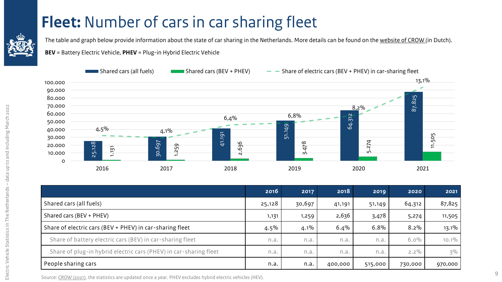### **[F](#page-2-0)leet:** Number of cars in car sharing fleet

<span id="page-8-0"></span>

The table and graph below provide information about the state of car sharing in the Netherlands. More details can be found on the [website of CROW \(](https://www.crow.nl/dashboard-autodelen/home/monitor-1/elektrische-deelauto-resultaat)in Dutch).

**BEV** = Battery Electric Vehicle, **PHEV** = Plug-in Hybrid Electric Vehicle



| 30.000<br>20.000<br>10.000<br>O                                                                            | 25.128<br>$\overline{151}$<br>$\overline{ }$<br>2016 | <u>.,, .,</u><br>$\overline{\phantom{a}}$<br>30.697<br>1.259<br>2017 | 41.191<br>636<br>$\overline{\mathsf{N}}$<br>2018 |         | 5.<br>$\infty$<br>ŻP.<br>$\sim$<br>2019 |         | 74<br>$\overline{N}$<br>LO.<br>2020 | 2021    | 505<br>ᄃ |
|------------------------------------------------------------------------------------------------------------|------------------------------------------------------|----------------------------------------------------------------------|--------------------------------------------------|---------|-----------------------------------------|---------|-------------------------------------|---------|----------|
|                                                                                                            |                                                      |                                                                      |                                                  | 2016    | 2017                                    | 2018    | 2019                                | 2020    | 2021     |
| Shared cars (all fuels)                                                                                    |                                                      |                                                                      | 25,128                                           | 30,697  | 41,191                                  | 51,149  | 64,312                              | 87,825  |          |
| Shared cars (BEV + PHEV)                                                                                   |                                                      |                                                                      |                                                  | 1,131   | 1,259                                   | 2,636   | 3,478                               | 5,274   | 11,505   |
|                                                                                                            |                                                      | Share of electric cars (BEV + PHEV) in car-sharing fleet             |                                                  | $4.5\%$ | $4.1\%$                                 | 6.4%    | 6.8%                                | $8.2\%$ | 13.1%    |
|                                                                                                            |                                                      | Share of battery electric cars (BEV) in car-sharing fleet            |                                                  | n.a.    | n.a.                                    | n.a.    | n.a.                                | $6.0\%$ | $10.1\%$ |
| Share of plug-in hybrid electric cars (PHEV) in car-sharing fleet                                          |                                                      |                                                                      | n.a.                                             | n.a.    | n.a.                                    | n.a.    | $2.2\%$                             | $3\%$   |          |
| People sharing cars                                                                                        |                                                      |                                                                      | n.a.                                             | n.a.    | 400,000                                 | 515,000 | 730,000                             | 970,000 |          |
| Source: CROW (2021), the statistics are updated once a year. PHEV excludes hybrid electric vehicles (HEV). |                                                      |                                                                      |                                                  |         |                                         |         |                                     |         |          |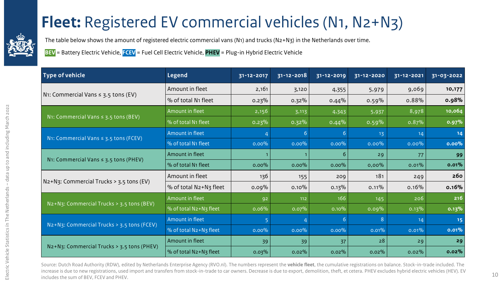### **[F](#page-2-0)leet:** Registered EV commercial vehicles (N1, N2+N3)

<span id="page-9-0"></span>

The table below shows the amount of registered electric commercial vans (N1) and trucks (N2+N3) in the Netherlands over time.

**BEV** = Battery Electric Vehicle, **FCEV** = Fuel Cell Electric Vehicle, **PHEV** = Plug-in Hybrid Electric Vehicle

| <b>Type of vehicle</b>                     | <b>Legend</b>                   | 31-12-2017 | $31 - 12 - 2018$ | 31-12-2019 | 31-12-2020 | 31-12-2021 | 31-03-2022 |
|--------------------------------------------|---------------------------------|------------|------------------|------------|------------|------------|------------|
|                                            | Amount in fleet                 | 2,161      | 3,120            | 4,355      | 5,979      | 9,069      | 10,177     |
| N1: Commercial Vans $\leq$ 3.5 tons (EV)   | % of total N1 fleet             | $0.23\%$   | $0.32\%$         | 0.44%      | $0.59\%$   | 0.88%      | 0.98%      |
|                                            | Amount in fleet                 | 2,156      | 3,113            | 4,343      | 5,937      | 8,978      | 10,064     |
| N1: Commercial Vans $\leq$ 3.5 tons (BEV)  | % of total N1 fleet             | 0.23%      | $0.32\%$         | 0.44%      | 0.59%      | 0.87%      | 0.97%      |
| N1: Commercial Vans $\leq$ 3.5 tons (FCEV) | Amount in fleet                 |            | 6                | 6          | 13         | 14         | $14$       |
|                                            | % of total N1 fleet             | $0.00\%$   | $0.00\%$         | $0.00\%$   | $0.00\%$   | $0.00\%$   | 0.00%      |
| N1: Commercial Vans $\leq$ 3.5 tons (PHEV) | Amount in fleet                 |            |                  | 6          | 29         | 77         | 99         |
|                                            | % of total N <sub>1</sub> fleet | $0.00\%$   | $0.00\%$         | $0.00\%$   | 0,00%      | 0.01%      | 0.01%      |
| N2+N3: Commercial Trucks > 3.5 tons (EV)   | Amount in fleet                 | 136        | 155              | 209        | 181        | 249        | 260        |
|                                            | % of total N2+N3 fleet          | $0.09\%$   | $0.10\%$         | 0.13%      | 0.11%      | 0.16%      | 0.16%      |
| N2+N3: Commercial Trucks > 3.5 tons (BEV)  | Amount in fleet                 | 92         | 112              | 166        | 145        | 206        | 216        |
|                                            | % of total N2+N3 fleet          | 0.06%      | 0.07%            | 0.10%      | 0.09%      | 0.13%      | 0.13%      |
| N2+N3: Commercial Trucks > 3.5 tons (FCEV) | Amount in fleet                 |            |                  | 6          | 8          | 14         | 15         |
|                                            | % of total N2+N3 fleet          | $0.00\%$   | $0.00\%$         | $0.00\%$   | 0.01%      | 0.01%      | 0.01%      |
|                                            | Amount in fleet                 | 39         | 39               | 37         | 28         | 29         | 29         |
| N2+N3: Commercial Trucks > 3.5 tons (PHEV) | % of total N2+N3 fleet          | 0.03%      | $0.02\%$         | $0.02\%$   | 0.02%      | $0.02\%$   | 0.02%      |

Source: Dutch Road Authority (RDW), edited by Netherlands Enterprise Agency (RVO.nl). The numbers represent the **vehicle fleet**, the cumulative registrations on balance. Stock-in-trade included. The increase is due to new registrations, used import and transfers from stock-in-trade to car owners. Decrease is due to export, demolition, theft, et cetera. PHEV excludes hybrid electric vehicles (HEV). EV includes the sum of BEV, FCEV and PHEV.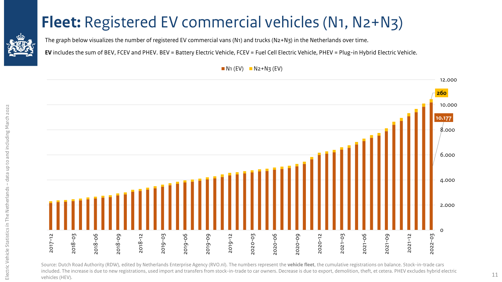### <span id="page-10-0"></span>**[F](#page-2-0)leet:** Registered EV commercial vehicles (N1, N2+N3)



**EV** includes the sum of BEV, FCEV and PHEV. BEV = Battery Electric Vehicle, FCEV = Fuel Cell Electric Vehicle, PHEV = Plug-in Hybrid Electric Vehicle.



Source: Dutch Road Authority (RDW), edited by Netherlands Enterprise Agency (RVO.nl). The numbers represent the **vehicle fleet**, the cumulative registrations on balance. Stock-in-trade cars included. The increase is due to new registrations, used import and transfers from stock-in-trade to car owners. Decrease is due to export, demolition, theft, et cetera. PHEV excludes hybrid electric vehicles (HEV).

 $N_1$  (EV)  $N_2+N_3$  (EV)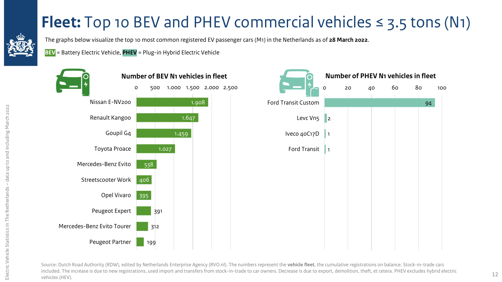### **[F](#page-2-0)leet:** Top 10 BEV and PHEV commercial vehicles  $\leq$  3.5 tons (N1)

<span id="page-11-0"></span>

Electric Vehicle

Electric Vehicle Statistics in The Netherlands

Statistics ín The Netherlands – data up to and including March 2022

- data up to and including March 2022

The graphs below visualize the top 10 most common registered EV passenger cars (M1) in the Netherlands as of **28 March 2022**.

**BEV** = Battery Electric Vehicle, **PHEV** = Plug-in Hybrid Electric Vehicle





Source: Dutch Road Authority (RDW), edited by Netherlands Enterprise Agency (RVO.nl). The numbers represent the **vehicle fleet**, the cumulative registrations on balance. Stock-in-trade cars included. The increase is due to new registrations, used import and transfers from stock-in-trade to car owners. Decrease is due to export, demolition, theft, et cetera. PHEV excludes hybrid electric vehicles (HEV).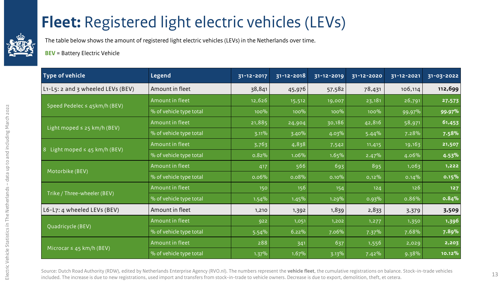### <span id="page-12-0"></span>**[F](#page-2-0)leet:** Registered light electric vehicles (LEVs)

The table below shows the amount of registered light electric vehicles (LEVs) in the Netherlands over time.

**BEV** = Battery Electric Vehicle

| Type of vehicle                                       | Legend                  | 31-12-2017 | $\overline{31}$ -12-2018 | 31-12-2019 | 31-12-2020 | 31-12-2021 | 31-03-2022 |
|-------------------------------------------------------|-------------------------|------------|--------------------------|------------|------------|------------|------------|
| L1-L5: 2 and 3 wheeled LEVs (BEV)                     | Amount in fleet         | 38,841     | 45,976                   | 57,582     | 78,431     | 106,114    | 112,699    |
| Speed Pedelec $\leq$ 45km/h (BEV)                     | Amount in fleet         | 12,626     | 15,512                   | 19,007     | 23,181     | 26,791     | 27,573     |
|                                                       | % of vehicle type total | 100%       | 100%                     | 100%       | 100%       | 99,97%     | 99.97%     |
|                                                       | Amount in fleet         | 21,885     | 24,904                   | 30,186     | 42,816     | 58,971     | 61,453     |
| Light moped $\leq$ 25 km/h (BEV)                      | % of vehicle type total | $3.11\%$   | 3.40%                    | 4.03%      | 5.44%      | 7.28%      | 7.58%      |
|                                                       | Amount in fleet         | 3,763      | 4,838                    | 7,542      | 11,415     | 19,163     | 21,507     |
| Light moped $\leq$ 45 km/h (BEV)<br>$\lvert 8 \rvert$ | % of vehicle type total | 0.82%      | 1.06%                    | 1.65%      | 2.47%      | 4.06%      | 4.53%      |
|                                                       | Amount in fleet         | 417        | 566                      | 693        | 895        | 1,063      | 1,222      |
| Motorbike (BEV)                                       | % of vehicle type total | 0.06%      | 0.08%                    | 0.10%      | $0,12\%$   | 0.14%      | 0.15%      |
|                                                       | Amount in fleet         | 150        | 156                      | 154        | 124        | 126        | 127        |
| Trike / Three-wheeler (BEV)                           | % of vehicle type total | 1.54%      | 1.45%                    | 1.29%      | 0.93%      | 0.86%      | 0.84%      |
| L6-L7: 4 wheeled LEVs (BEV)                           | Amount in fleet         | 1,210      | 1,392                    | 1,839      | 2,833      | 3,379      | 3,509      |
|                                                       | Amount in fleet         | 922        | 1,051                    | 1,202      | 1,277      | 1,350      | 1,396      |
| Quadricycle (BEV)                                     | % of vehicle type total | $5.54\%$   | 6.22%                    | 7.06%      | 7.37%      | 7.68%      | 7.89%      |
|                                                       | Amount in fleet         | 288        | 341                      | 637        | 1,556      | 2,029      | 2,203      |
| Microcar $\leq$ 45 km/h (BEV)                         | % of vehicle type total | 1.37%      | 1.67%                    | 3.13%      | 7.42%      | 9.38%      | 10.12%     |

Source: Dutch Road Authority (RDW), edited by Netherlands Enterprise Agency (RVO.nl). The numbers represent the **vehicle fleet**, the cumulative registrations on balance. Stock-in-trade vehicles included. The increase is due to new registrations, used import and transfers from stock-in-trade to vehicle owners. Decrease is due to export, demolition, theft, et cetera. 13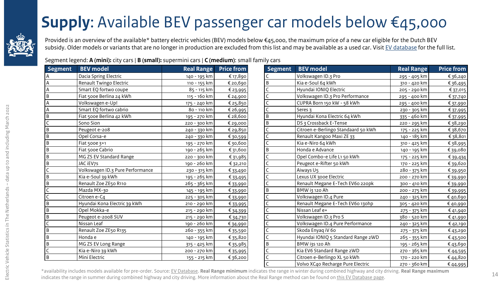### **[S](#page-2-0)upply**: Available BEV passenger car models below €45,000

<span id="page-13-0"></span>

Provided is an overview of the available\* battery electric vehicles (BEV) models below €45,000, the maximum price of a new car eligible for the Dutch BEV subsidy. Older models or variants that are no longer in production are excluded from this list and may be available as a used car. Visit [EV database](https://ev-database.org/) for the full list.

Segment legend: **A (mini):** city cars | **B (small):** supermini cars | **C (medium)**: small family cars

| <b>Segment</b> | <b>BEV</b> model                 | <b>Real Range</b> | <b>Price from</b> | <b>Segment</b> | <b>BEV</b> model                    | <b>Real Range</b> | <b>Price from</b> |
|----------------|----------------------------------|-------------------|-------------------|----------------|-------------------------------------|-------------------|-------------------|
|                | Dacia Spring Electric            | 140 - 195 km      | € 17,890          |                | Volkswagen ID.3 Pro                 | 295 - 405 km      | € 36,240          |
|                | Renault Twingo Electric          | 110 - 155 km      | € 20,690          | B.             | Kia e-Soul 64 kWh                   | 310 - 420 km      | € 36,495          |
|                | Smart EQ fortwo coupe            | 85 - 115 km       | € 23,995          |                | Hyundai IONIQ Electric              | 205 - 290 km      | € 37,015          |
| B              | Fiat 500e Berlina 24 kWh         | 115 - 160 km      | € 24,900          |                | Volkswagen ID.3 Pro Performance     | 295 - 400 km      | €37,740           |
|                | Volkswagen e-Up!                 | 175 - 240 km      | € 25,850          |                | CUPRA Born 150 kW - 58 kWh          | 295 - 400 km      | € 37,990          |
|                | Smart EQ fortwo cabrio           | 80 - 110 km       | €26,995           |                | Seres 3                             | 230 - 305 km      | €37,995           |
| B              | Fiat 500e Berlina 42 kWh         | 195 - 270 km      | € 28,600          | B              | Hyundai Kona Electric 64 kWh        | 335 - 460 km      | €37,995           |
|                | Sono Sion                        | 220 - 300 km      | € 29,000          | B              | DS 3 Crossback E-Tense              | 220 - 295 km      | €38,290           |
|                | Peugeot e-208                    | 240 - 330 km      | €29,850           |                | Citroen e-Berlingo Standaard 50 kWh | 175 - 225 km      | € 38,670          |
|                | Opel Corsa-e                     | 240 - 330 km      | €30,599           |                | Renault Kangoo Maxi ZE 33           | 140 - 185 km      | €38,801           |
| B              | Fiat 500e 3+1                    | 195 - 270 km      | €30,600           |                | Kia e-Niro 64 kWh                   | 310 - 425 km      | €38,995           |
|                | Fiat 500e Cabrio                 | 190 - 265 km      | € 31,600          | B              | Honda e Advance                     | 140 - 195 km      | €39,080           |
| B              | MG ZS EV Standard Range          | 220 - 300 km      | € 31,985          |                | Opel Combo-e Life L1 50 kWh         | 175 - 225 km      | €39,434           |
|                | JAC iEV7S                        | 190 - 260 km      | € 32,210          |                | Peugeot e-Rifter 50 kWh             | 170 - 225 km      | € 39,620          |
|                | Volkswagen ID.3 Pure Performance | 230 - 315 km      | € 33,490          |                | Aiways U5                           | 280 - 375 km      | € 39,950          |
|                | Kia e-Soul 39 kWh                | 195 - 265 km      | € 33,495          |                | Lexus UX 300e Electric              | 200 - 270 km      | € 39,990          |
| B              | Renault Zoe ZE50 R110            | 265 - 365 km      | € 33,990          |                | Renault Megane E-Tech EV60 220pk    | 300 - 410 km      | € 39,990          |
|                | Mazda MX-30                      | 145 - 195 km      | € 33,990          | B              | BMW i3 120 Ah                       | 200 - 275 km      | €39,995           |
|                | Citroen e-C4                     | 225 - 305 km      | € 33,990          |                | Volkswagen ID.4 Pure                | 240 - 325 km      | € 40,690          |
| B              | Hyundai Kona Electric 39 kWh     | 210 - 290 km      | €33,995           |                | Renault Megane E-Tech EV60 130hp    | 305 - 420 km      | € 40,990          |
| B              | Opel Mokka-e                     | 215 - 290 km      | € 34,399          |                | Nissan Leaf e+                      | 275 - 375 km      | € 41,940          |
| B              | Peugeot e-2008 SUV               | 215 - 290 km      | € 34,730          |                | Volkswagen ID.3 Pro S               | 380 - 520 km      | € 41,990          |
|                | Nissan Leaf                      | 190 - 260 km      | € 34,990          |                | Volkswagen ID.4 Pure Performance    | 240 - 325 km      | € 42,190          |
| B              | Renault Zoe ZE50 R135            | 260 - 355 km      | € 35,590          |                | Skoda Enyaq iV 60                   | 275 - 375 km      | €43,290           |
| B              | Honda e                          | 140 - 195 km      | € 35,820          |                | Hyundai IONIQ 5 Standard Range 2WD  | 265 - 355 km      | €43,500           |
| B              | MG ZS EV Long Range              | 315 - 425 km      | €35,985           | B              | BMW i3s 120 Ah                      | 195 - 265 km      | € 43,690          |
|                | Kia e-Niro 39 kWh                | 200 - 270 km      | € 35,995          |                | Kia EV6 Standard Range 2WD          | 270 - 365 km      | €44,595           |
| B              | Mini Electric                    | 155 - 215 km      | €36,200           |                | Citroen e-Berlingo XL 50 kWh        | 170 - 220 km      | €44,820           |
|                |                                  |                   |                   |                | Volvo XC40 Recharge Pure Electric   | 270 - 360 km      | €44,995           |

\*availability includes models available for pre-order. Source: [EV Database](https://ev-database.nl/). **Real Range minimum** indicates the range in winter during combined highway and city driving. **Real Range maximum** indicates the range in summer during combined highway and city driving. More information about the Real Range method can be found on [this EV Database page](https://ev-database.nl/informatie/stroomverbruik-hybride-elektrische-auto#Rekenmethode).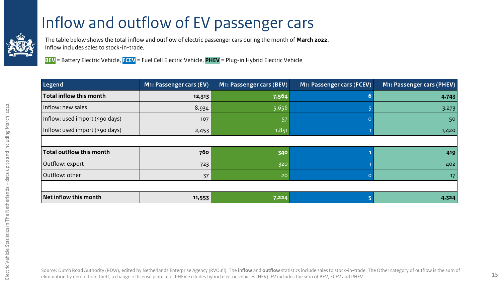### [I](#page-2-0)nflow and outflow of EV passenger cars

<span id="page-14-0"></span>

The table below shows the total inflow and outflow of electric passenger cars during the month of **March 2022**. Inflow includes sales to stock-in-trade.

**BEV** = Battery Electric Vehicle, **FCEV** = Fuel Cell Electric Vehicle, **PHEV** = Plug-in Hybrid Electric Vehicle

| Legend                                       | M1: Passenger cars (EV) | M1: Passenger cars (BEV) | M1: Passenger cars (FCEV) | M1: Passenger cars (PHEV) |
|----------------------------------------------|-------------------------|--------------------------|---------------------------|---------------------------|
| <b>Total inflow this month</b>               | 12,313                  | 7,564                    |                           | 4,743                     |
| Inflow: new sales                            | 8,934                   | 5,656                    |                           | 3,273                     |
| Inflow: used import $(\leq 90 \text{ days})$ | 107                     | 57                       |                           | 50                        |
| Inflow: used import (>90 days)               | 2,453                   | 1,851                    |                           | 1,420                     |
|                                              |                         |                          |                           |                           |
| Total outflow this month                     | 760                     | 340                      |                           | 419                       |
| Outflow: export                              | 723                     | 320                      |                           | 402                       |
| Outflow: other                               | 37                      | 20                       |                           | 17                        |
|                                              |                         |                          |                           |                           |
| Net inflow this month                        | 11,553                  | 7,224                    |                           | 4,324                     |

Source: Dutch Road Authority (RDW), edited by Netherlands Enterprise Agency (RVO.nl). The **inflow** and **outflow** statistics include sales to stock-in-trade. The Other category of outflow is the sum of elimination by demolition, theft, a change of license plate, etc. PHEV excludes hybrid electric vehicles (HEV). EV includes the sum of BEV, FCEV and PHEV.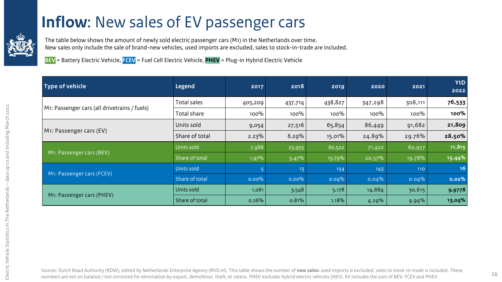#### **[I](#page-2-0)nflow:** New sales of EV passenger cars

<span id="page-15-0"></span>

The table below shows the amount of newly sold electric passenger cars (M1) in the Netherlands over time. New sales only include the sale of brand-new vehicles, used imports are excluded, sales to stock-in-trade are included.

**BEV** = Battery Electric Vehicle, **FCEV** = Fuel Cell Electric Vehicle, **PHEV** = Plug-in Hybrid Electric Vehicle

| Type of vehicle                              | <b>Legend</b>  | 2017     | 2018     | 2019    | 2020      | 2021    | <b>YtD</b><br>2022 |
|----------------------------------------------|----------------|----------|----------|---------|-----------|---------|--------------------|
|                                              | Total sales    | 405,209  | 437,714  | 438,827 | 347,298   | 308,111 | 76,533             |
| M1: Passenger cars (all drivetrains / fuels) | Total share    | 100%     | 100%     | 100%    | 100%      | $100\%$ | 100%               |
| M1: Passenger cars (EV)                      | Units sold     | 9,054    | 27,516   | 65,854  | 86,449    | 91,682  | 21,809             |
|                                              | Share of total | $2.23\%$ | 6.29%    | 15.01%  | 24.89%    | 29.76%  | 28.50%             |
|                                              | Units sold     | 7,988    | 23,955   | 60,522  | 71,422    | 60,957  | 11,815             |
| M1: Passenger cars (BEV)                     | Share of total | 1.97%    | 5.47%    | 13.79%  | $20,57\%$ | 19.78%  | 15.44%             |
|                                              | Units sold     |          | 13       | 154     | 143       | 110     | 16                 |
| M1: Passenger cars (FCEV)                    | Share of total | $0.00\%$ | $0.00\%$ | 0.04%   | 0.04%     | 0.04%   | 0.02%              |
|                                              | Units sold     | 1,061    | 3,548    | 5,178   | 14,884    | 30,615  | 9,9778             |
| M <sub>1</sub> : Passenger cars (PHEV)       | Share of total | 0.26%    | 0.81%    | 1.18%   | 4.29%     | 9.94%   | 13,04%             |

Source: Dutch Road Authority (RDW), edited by Netherlands Enterprise Agency (RVO.nl). This table shows the number of **new sales:** used imports is excluded, sales to stock-in-trade is included. These numbers are not on balance / not corrected for elimination by export, demolition, theft, et cetera. PHEV excludes hybrid electric vehicles (HEV). EV includes the sum of BEV, FCEV and PHEV. 16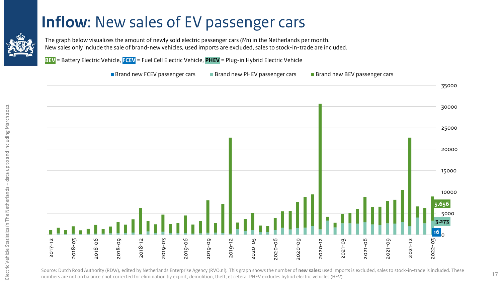#### **[I](#page-2-0)nflow**: New sales of EV passenger cars

<span id="page-16-0"></span>

The graph below visualizes the amount of newly sold electric passenger cars (M1) in the Netherlands per month. New sales only include the sale of brand-new vehicles, used imports are excluded, sales to stock-in-trade are included.

**BEV** = Battery Electric Vehicle, **FCEV** = Fuel Cell Electric Vehicle, **PHEV** = Plug-in Hybrid Electric Vehicle

■ Brand new FCEV passenger cars ■ Brand new PHEV passenger cars ■ Brand new BEV passenger cars



Source: Dutch Road Authority (RDW), edited by Netherlands Enterprise Agency (RVO.nl). This graph shows the number of **new sales:** used imports is excluded, sales to stock-in-trade is included. These numbers are not on balance / not corrected for elimination by export, demolition, theft, et cetera. PHEV excludes hybrid electric vehicles (HEV).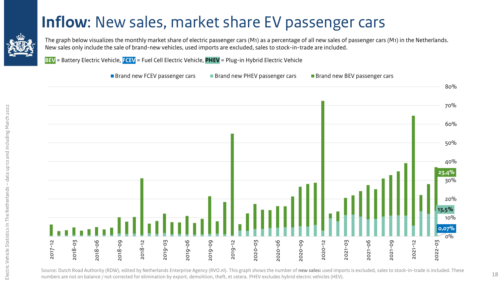#### **[I](#page-2-0)nflow**: New sales, market share EV passenger cars

<span id="page-17-0"></span>

The graph below visualizes the monthly market share of electric passenger cars (M1) as a percentage of all new sales of passenger cars (M1) in the Netherlands. New sales only include the sale of brand-new vehicles, used imports are excluded, sales to stock-in-trade are included.

**BEV** = Battery Electric Vehicle, **FCEV** = Fuel Cell Electric Vehicle, **PHEV** = Plug-in Hybrid Electric Vehicle



Source: Dutch Road Authority (RDW), edited by Netherlands Enterprise Agency (RVO.nl). This graph shows the number of **new sales:** used imports is excluded, sales to stock-in-trade is included. These numbers are not on balance / not corrected for elimination by export, demolition, theft, et cetera. PHEV excludes hybrid electric vehicles (HEV).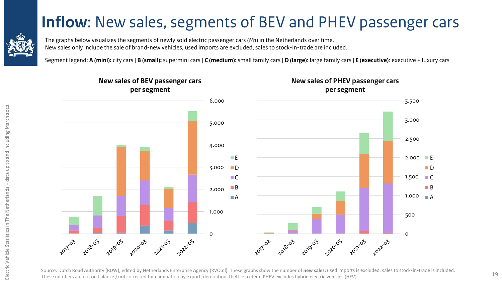#### **[I](#page-2-0)nflow**: New sales, segments of BEV and PHEV passenger cars

<span id="page-18-0"></span>

The graphs below visualizes the segments of newly sold electric passenger cars (M1) in the Netherlands over time. New sales only include the sale of brand-new vehicles, used imports are excluded, sales to stock-in-trade are included.

Segment legend: **A (mini):** city cars | **B (small):** supermini cars | **C (medium)**: small family cars | **D (large)**: large family cars | **E (executive)**: executive + luxury cars



Source: Dutch Road Authority (RDW), edited by Netherlands Enterprise Agency (RVO.nl). These graphs show the number of **new sales:** used imports is excluded, sales to stock-in-trade is included. These numbers are not on balance / not corrected for elimination by export, demolition, theft, et cetera. PHEV excludes hybrid electric vehicles (HEV).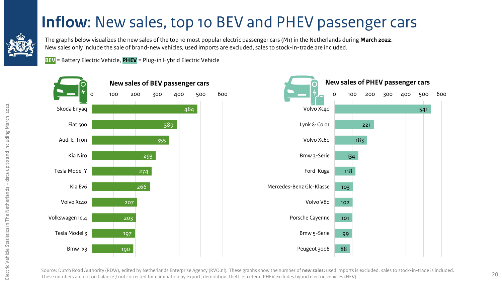### **[I](#page-2-0)nflow**: New sales, top 10 BEV and PHEV passenger cars

<span id="page-19-0"></span>

The graphs below visualizes the new sales of the top 10 most popular electric passenger cars (M1) in the Netherlands during **March 2022**. New sales only include the sale of brand-new vehicles, used imports are excluded, sales to stock-in-trade are included.

**BEV** = Battery Electric Vehicle, **PHEV** = Plug-in Hybrid Electric Vehicle





Source: Dutch Road Authority (RDW), edited by Netherlands Enterprise Agency (RVO.nl). These graphs show the number of **new sales:** used imports is excluded, sales to stock-in-trade is included. These numbers are not on balance / not corrected for elimination by export, demolition, theft, et cetera. PHEV excludes hybrid electric vehicles (HEV).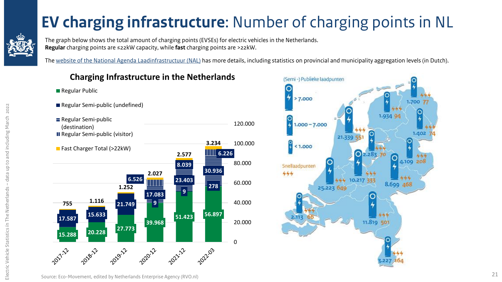## **[E](#page-2-0)V charging infrastructure**: Number of charging points in NL

<span id="page-20-0"></span>

■ Regular Public

Electric Vehicle Statistics ín The Netherlands – data up to and including March 2022

Electric Vehicle Statistics in The Netherlands

2022

data up to and including March

The graph below shows the total amount of charging points (EVSEs) for electric vehicles in the Netherlands. **Regular** charging points are ≤22kW capacity, while **fast** charging points are >22kW.

The [website of the National Agenda Laadinfrastructuur](https://agendalaadinfrastructuur.nl/monitoring/default.aspx) (NAL) has more details, including statistics on provincial and municipality aggregation levels (in Dutch).

#### **Charging Infrastructure in the Netherlands**

Regular Semi-public (undefined) Regular Semi-public 120.000 (destination) **III** Regular Semi-public (visitor) 100.000 **3.234** Fast Charger Total (>22kW) **6.226 2.577** 80.000 **8.039 30.936 2.027 6.526 23.403 TITUNI** 60.000 **278 1.252 9 17.083 <sup>755</sup> 1.116** 40.000 **21.749 51.423 56.897 17.587 15.633 39.968** 20.000 **15.288 20.228 27.773** 0 2022.03

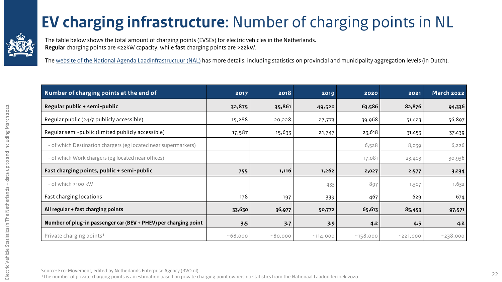### **[E](#page-2-0)V charging infrastructure**: Number of charging points in NL

<span id="page-21-0"></span>

The table below shows the total amount of charging points (EVSEs) for electric vehicles in the Netherlands. **Regular** charging points are ≤22kW capacity, while **fast** charging points are >22kW.

The [website of the National Agenda Laadinfrastructuur](https://agendalaadinfrastructuur.nl/monitoring/default.aspx) (NAL) has more details, including statistics on provincial and municipality aggregation levels (in Dutch).

| Number of charging points at the end of                         | 2017    | 2018    | 2019              | 2020     | 2021     | March 2022 |
|-----------------------------------------------------------------|---------|---------|-------------------|----------|----------|------------|
| Regular public + semi-public                                    | 32,875  | 35,861  | 49,520            | 63,586   | 82,876   | 94,336     |
| Regular public (24/7 publicly accessible)                       | 15,288  | 20,228  | 27,773            | 39,968   | 51,423   | 56,897     |
| Regular semi-public (limited publicly accessible)               | 17,587  | 15,633  | 21,747            | 23,618   | 31,453   | 37,439     |
| - of which Destination chargers (eg located near supermarkets)  |         |         |                   | 6,528    | 8,039    | 6,226      |
| - of which Work chargers (eg located near offices)              |         |         |                   | 17,081   | 23,403   | 30,936     |
| Fast charging points, public + semi-public                      | 755     | 1,116   | 1,262             | 2,027    | 2,577    | 3,234      |
| - of which >100 kW                                              |         |         | 433               | 897      | 1,307    | 1,632      |
| Fast charging locations                                         | 178     | 197     | 339               | 467      | 629      | 674        |
| All regular + fast charging points                              | 33,630  | 36,977  | 50,772            | 65,613   | 85,453   | 97,571     |
| Number of plug-in passenger car (BEV + PHEV) per charging point | 3,5     | 3,7     | 3,9               | 4,2      | 4,5      | 4,2        |
| Private charging points <sup>1</sup>                            | ~58,000 | ~80,000 | $^{\sim}$ 114,000 | ~158,000 | ~221,000 | ~238,000   |

Source: Eco-Movement, edited by Netherlands Enterprise Agency (RVO.nl)

<sup>1</sup>The number of private charging points is an estimation based on private charging point ownership statistics from the [Nationaal Laadonderzoek](https://www.elaad.nl/uploads/files/Rapport_Nationaal_Laadonderzoek_2020.pdf) 2020